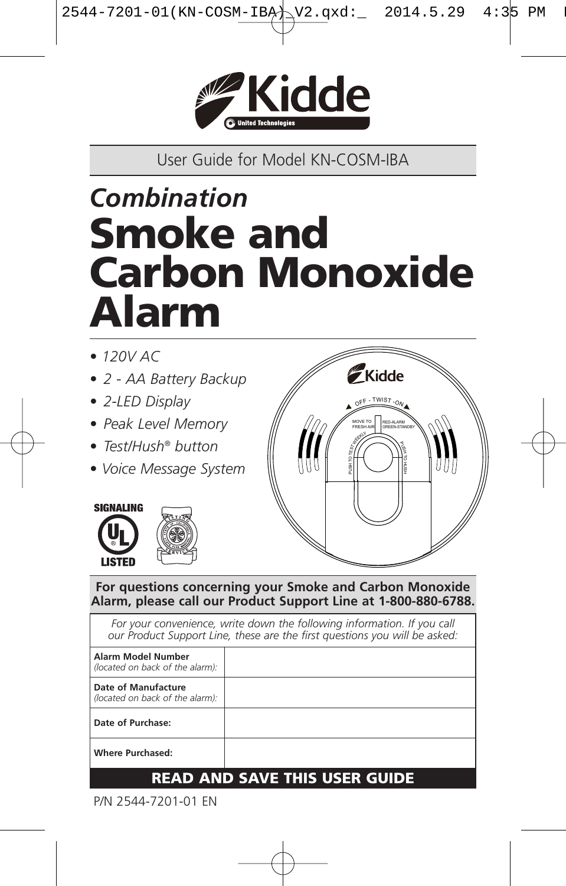

User Guide for Model KN-COSM-IBA

# *Combination* **Smoke and Carbon Monoxide Alarm**

- *• 120V AC*
- *• 2 - AA Battery Backup*
- *• 2-LED Display*
- *• Peak Level Memory*
- *• Test/Hush® button*
- *• Voice Message System*





**For questions concerning your Smoke and Carbon Monoxide Alarm, please call our Product Support Line at 1-800-880-6788.**

*For your convenience, write down the following information. If you call our Product Support Line, these are the first questions you will be asked:* **Alarm Model Number** *(located on back of the alarm):*

**Date of Manufacture** *(located on back of the alarm):* **Date of Purchase: Where Purchased:**

### **READ AND SAVE THIS USER GUIDE**

P/N 2544-7201-01 EN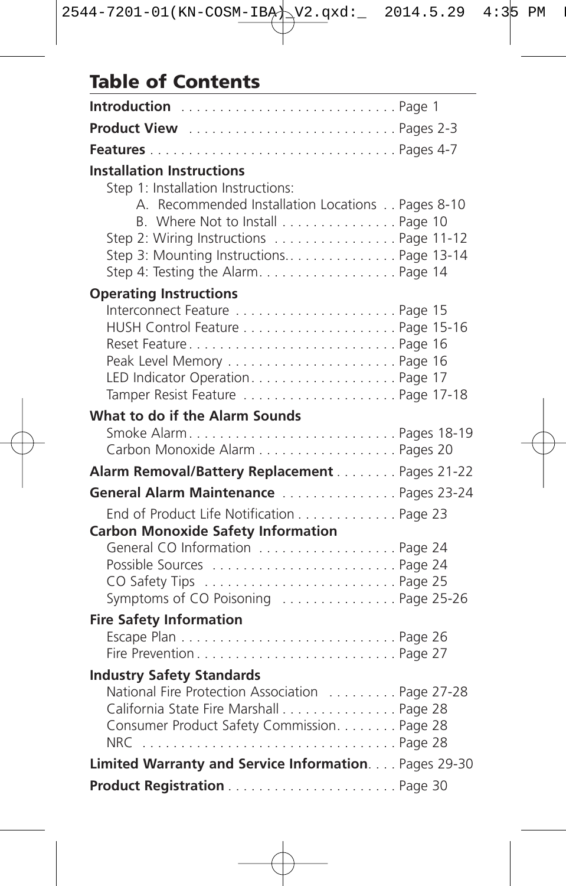# **Table of Contents**

| <b>Product View</b> Pages 2-3                                                                                                                                                                                    |  |
|------------------------------------------------------------------------------------------------------------------------------------------------------------------------------------------------------------------|--|
|                                                                                                                                                                                                                  |  |
| <b>Installation Instructions</b><br>Step 1: Installation Instructions:                                                                                                                                           |  |
| A. Recommended Installation Locations Pages 8-10<br>B. Where Not to Install Page 10<br>Step 2: Wiring Instructions  Page 11-12<br>Step 3: Mounting Instructions Page 13-14<br>Step 4: Testing the Alarm. Page 14 |  |
| <b>Operating Instructions</b>                                                                                                                                                                                    |  |
| Interconnect Feature  Page 15<br>Peak Level Memory  Page 16                                                                                                                                                      |  |
| What to do if the Alarm Sounds                                                                                                                                                                                   |  |
| Carbon Monoxide Alarm Pages 20                                                                                                                                                                                   |  |
| Alarm Removal/Battery Replacement Pages 21-22                                                                                                                                                                    |  |
| General Alarm Maintenance Pages 23-24                                                                                                                                                                            |  |
| End of Product Life Notification Page 23<br><b>Carbon Monoxide Safety Information</b>                                                                                                                            |  |
| General CO Information Page 24<br>Symptoms of CO Poisoning  Page 25-26                                                                                                                                           |  |
| <b>Fire Safety Information</b>                                                                                                                                                                                   |  |
| Fire PreventionPage 27                                                                                                                                                                                           |  |
| <b>Industry Safety Standards</b>                                                                                                                                                                                 |  |
| National Fire Protection Association  Page 27-28<br>California State Fire Marshall Page 28<br>Consumer Product Safety Commission. Page 28<br>NRC Page 28                                                         |  |
| Limited Warranty and Service Information. Pages 29-30                                                                                                                                                            |  |
|                                                                                                                                                                                                                  |  |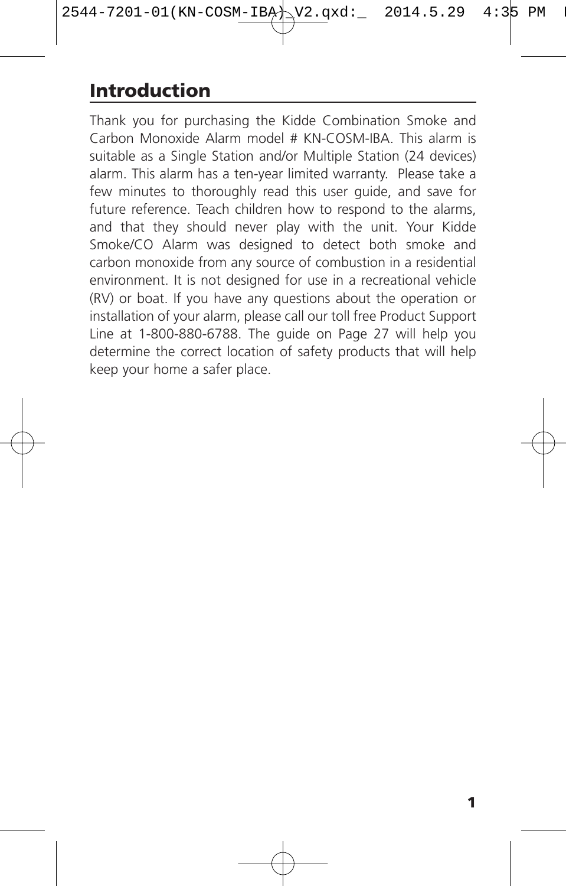# **Introduction**

Thank you for purchasing the Kidde Combination Smoke and Carbon Monoxide Alarm model # KN-COSM-IBA. This alarm is suitable as a Single Station and/or Multiple Station (24 devices) alarm. This alarm has a ten-year limited warranty. Please take a few minutes to thoroughly read this user guide, and save for future reference. Teach children how to respond to the alarms, and that they should never play with the unit. Your Kidde Smoke/CO Alarm was designed to detect both smoke and carbon monoxide from any source of combustion in a residential environment. It is not designed for use in a recreational vehicle (RV) or boat. If you have any questions about the operation or installation of your alarm, please call our toll free Product Support Line at 1-800-880-6788. The guide on Page 27 will help you determine the correct location of safety products that will help keep your home a safer place.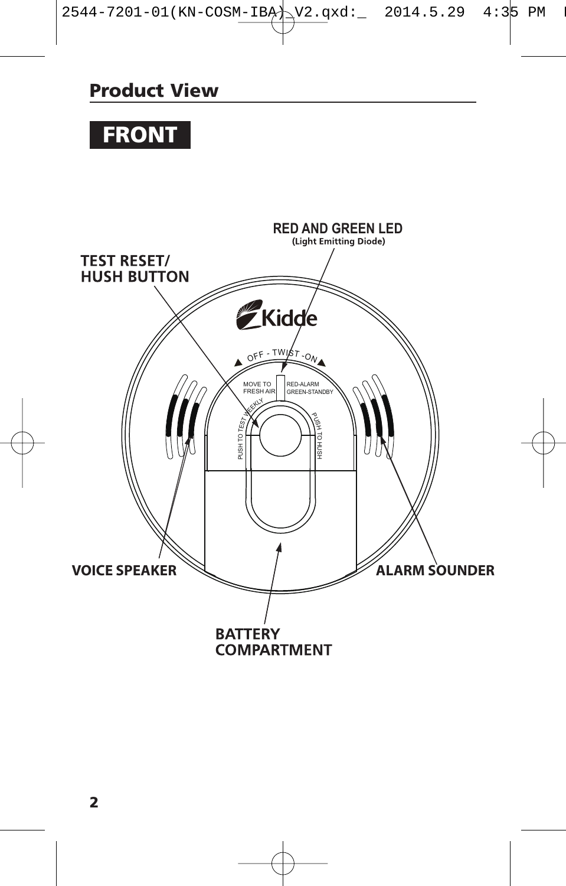### **Product View**

# **FRONT**

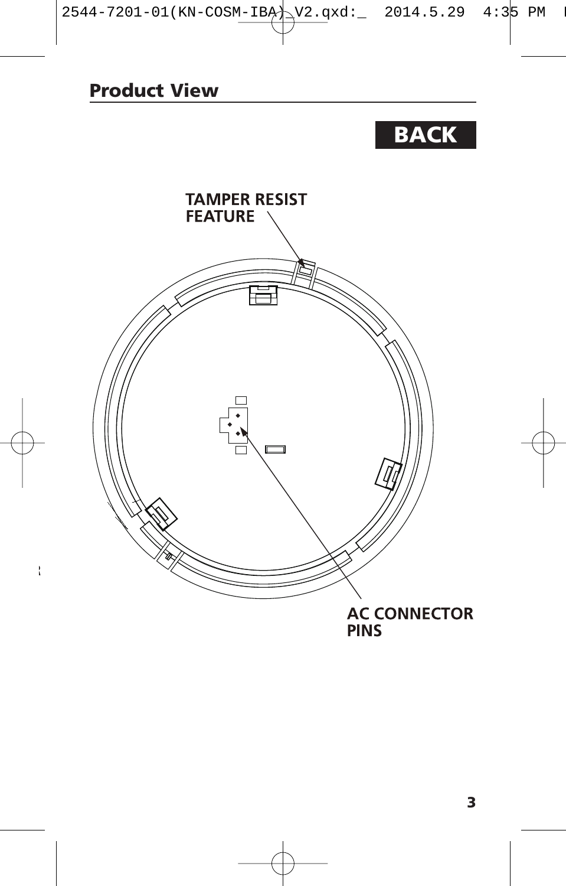# **BACK**

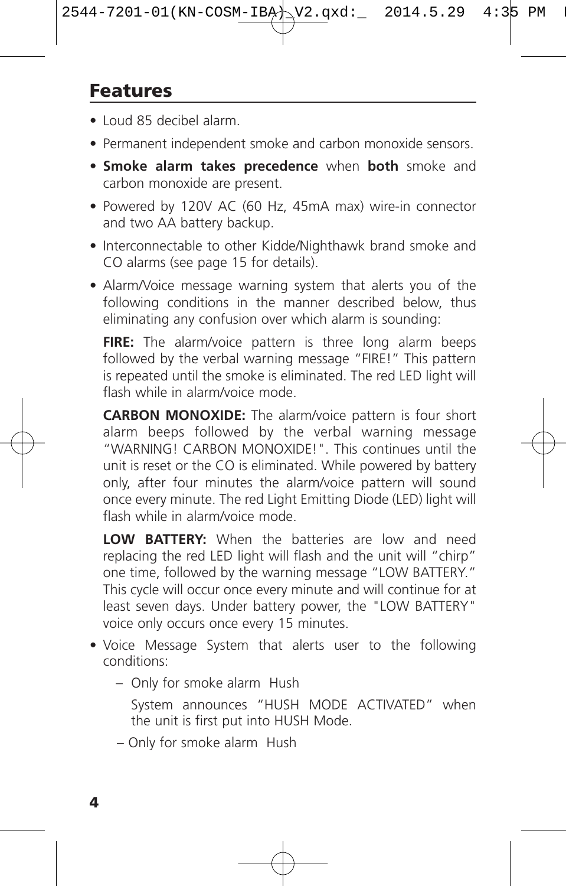### **Features**

- Loud 85 decibel alarm.
- Permanent independent smoke and carbon monoxide sensors.
- **Smoke alarm takes precedence** when **both** smoke and carbon monoxide are present.
- Powered by 120V AC (60 Hz, 45mA max) wire-in connector and two AA battery backup.
- Interconnectable to other Kidde/Nighthawk brand smoke and CO alarms (see page 15 for details).
- Alarm/Voice message warning system that alerts you of the following conditions in the manner described below, thus eliminating any confusion over which alarm is sounding:

**FIRE:** The alarm/voice pattern is three long alarm beeps followed by the verbal warning message "FIRE!" This pattern is repeated until the smoke is eliminated. The red LED light will flash while in alarm/voice mode.

**CARBON MONOXIDE:** The alarm/voice pattern is four short alarm beeps followed by the verbal warning message "WARNING! CARBON MONOXIDE!". This continues until the unit is reset or the CO is eliminated. While powered by battery only, after four minutes the alarm/voice pattern will sound once every minute. The red Light Emitting Diode (LED) light will flash while in alarm/voice mode.

**LOW BATTERY:** When the batteries are low and need replacing the red LED light will flash and the unit will "chirp" one time, followed by the warning message "LOW BATTERY." This cycle will occur once every minute and will continue for at least seven days. Under battery power, the "LOW BATTERY" voice only occurs once every 15 minutes.

- Voice Message System that alerts user to the following conditions:
	- Only for smoke alarm Hush
		- System announces "HUSH MODE ACTIVATED" when the unit is first put into HUSH Mode.
	- Only for smoke alarm Hush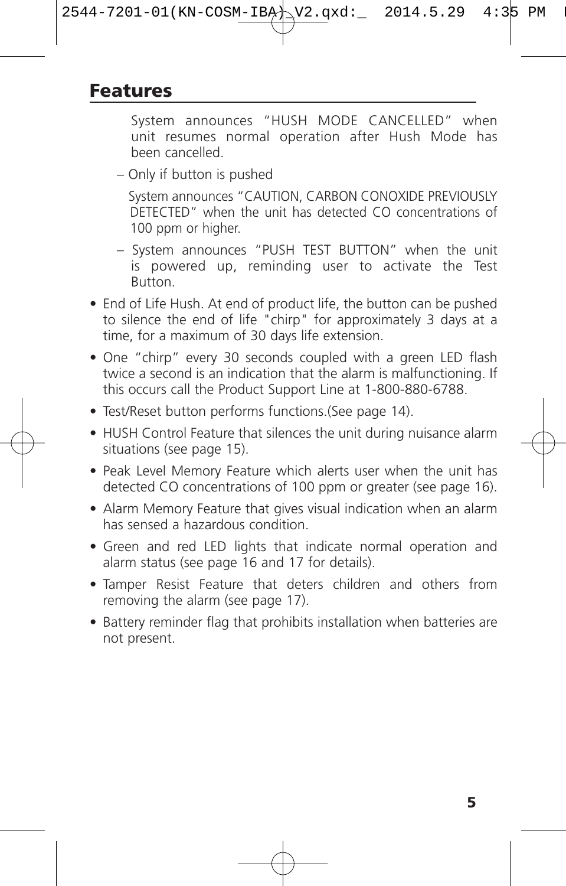### **Features**

System announces "HUSH MODE CANCELLED" when unit resumes normal operation after Hush Mode has been cancelled.

– Only if button is pushed

System announces "CAUTION, CARBON CONOXIDE PREVIOUSLY DETECTED" when the unit has detected CO concentrations of 100 ppm or higher.

- System announces "PUSH TEST BUTTON" when the unit is powered up, reminding user to activate the Test Button.
- End of Life Hush. At end of product life, the button can be pushed to silence the end of life "chirp" for approximately 3 days at a time, for a maximum of 30 days life extension.
- One "chirp" every 30 seconds coupled with a green LED flash twice a second is an indication that the alarm is malfunctioning. If this occurs call the Product Support Line at 1-800-880-6788.
- Test/Reset button performs functions.(See page 14).
- HUSH Control Feature that silences the unit during nuisance alarm situations (see page 15).
- Peak Level Memory Feature which alerts user when the unit has detected CO concentrations of 100 ppm or greater (see page 16).
- Alarm Memory Feature that gives visual indication when an alarm has sensed a hazardous condition.
- Green and red LED lights that indicate normal operation and alarm status (see page 16 and 17 for details).
- Tamper Resist Feature that deters children and others from removing the alarm (see page 17).
- Battery reminder flag that prohibits installation when batteries are not present.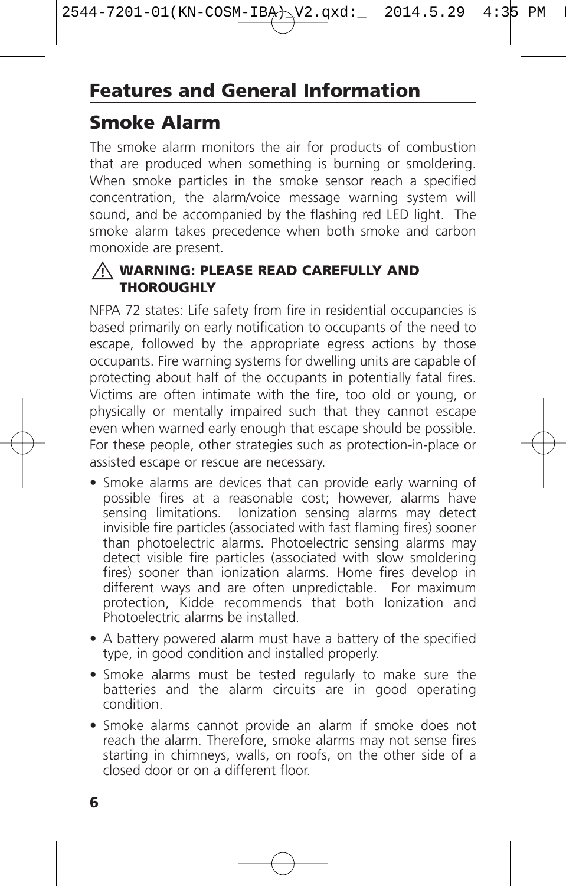# **Smoke Alarm**

The smoke alarm monitors the air for products of combustion that are produced when something is burning or smoldering. When smoke particles in the smoke sensor reach a specified concentration, the alarm/voice message warning system will sound, and be accompanied by the flashing red LED light. The smoke alarm takes precedence when both smoke and carbon monoxide are present.

#### **WARNING: PLEASE READ CAREFULLY AND ! THOROUGHLY**

NFPA 72 states: Life safety from fire in residential occupancies is based primarily on early notification to occupants of the need to escape, followed by the appropriate egress actions by those occupants. Fire warning systems for dwelling units are capable of protecting about half of the occupants in potentially fatal fires. Victims are often intimate with the fire, too old or young, or physically or mentally impaired such that they cannot escape even when warned early enough that escape should be possible. For these people, other strategies such as protection-in-place or assisted escape or rescue are necessary.

- Smoke alarms are devices that can provide early warning of possible fires at a reasonable cost; however, alarms have sensing limitations. Ionization sensing alarms may detect invisible fire particles (associated with fast flaming fires) sooner than photoelectric alarms. Photoelectric sensing alarms may detect visible fire particles (associated with slow smoldering fires) sooner than ionization alarms. Home fires develop in different ways and are often unpredictable. For maximum protection, Kidde recommends that both Ionization and Photoelectric alarms be installed.
- A battery powered alarm must have a battery of the specified type, in good condition and installed properly.
- Smoke alarms must be tested regularly to make sure the batteries and the alarm circuits are in good operating condition.
- Smoke alarms cannot provide an alarm if smoke does not reach the alarm. Therefore, smoke alarms may not sense fires starting in chimneys, walls, on roofs, on the other side of a closed door or on a different floor.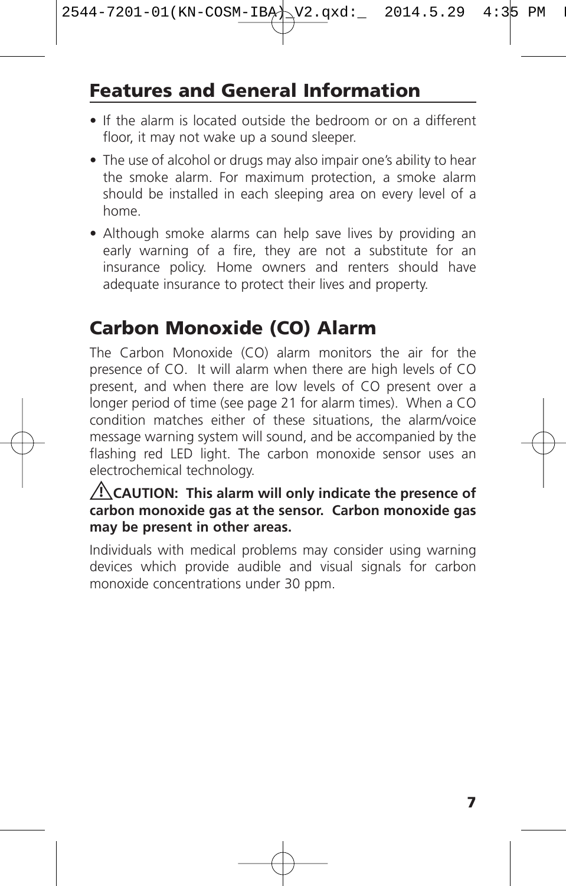# **Features and General Information**

- If the alarm is located outside the bedroom or on a different floor, it may not wake up a sound sleeper.
- The use of alcohol or drugs may also impair one's ability to hear the smoke alarm. For maximum protection, a smoke alarm should be installed in each sleeping area on every level of a home.
- Although smoke alarms can help save lives by providing an early warning of a fire, they are not a substitute for an insurance policy. Home owners and renters should have adequate insurance to protect their lives and property.

# **Carbon Monoxide (CO) Alarm**

The Carbon Monoxide (CO) alarm monitors the air for the presence of CO. It will alarm when there are high levels of CO present, and when there are low levels of CO present over a longer period of time (see page 21 for alarm times). When a CO condition matches either of these situations, the alarm/voice message warning system will sound, and be accompanied by the flashing red LED light. The carbon monoxide sensor uses an electrochemical technology.

#### **CAUTION: This alarm will only indicate the presence of ! carbon monoxide gas at the sensor. Carbon monoxide gas may be present in other areas.**

Individuals with medical problems may consider using warning devices which provide audible and visual signals for carbon monoxide concentrations under 30 ppm.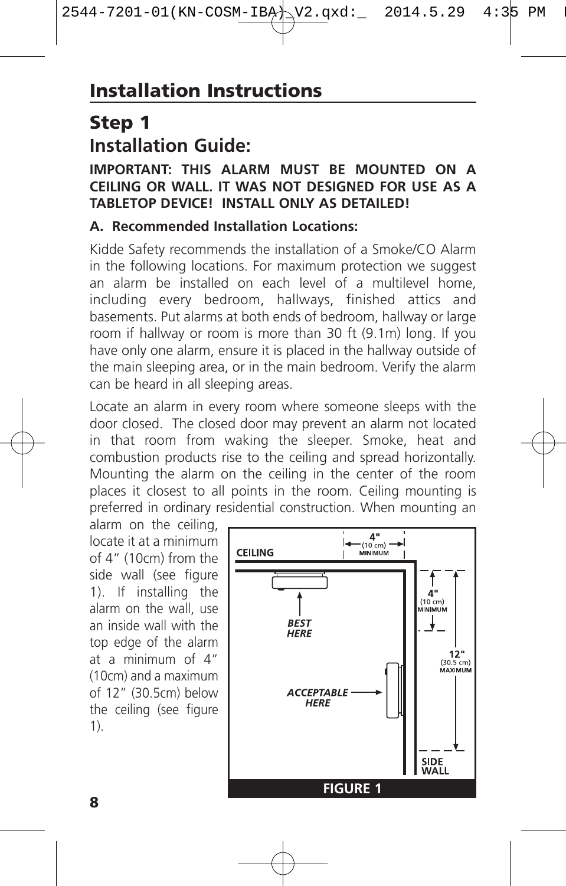# **Step 1 Installation Guide:**

#### **IMPORTANT: THIS ALARM MUST BE MOUNTED ON A CEILING OR WALL. IT WAS NOT DESIGNED FOR USE AS A TABLETOP DEVICE! INSTALL ONLY AS DETAILED!**

#### **A. Recommended Installation Locations:**

Kidde Safety recommends the installation of a Smoke/CO Alarm in the following locations. For maximum protection we suggest an alarm be installed on each level of a multilevel home, including every bedroom, hallways, finished attics and basements. Put alarms at both ends of bedroom, hallway or large room if hallway or room is more than 30 ft (9.1m) long. If you have only one alarm, ensure it is placed in the hallway outside of the main sleeping area, or in the main bedroom. Verify the alarm can be heard in all sleeping areas.

Locate an alarm in every room where someone sleeps with the door closed. The closed door may prevent an alarm not located in that room from waking the sleeper. Smoke, heat and combustion products rise to the ceiling and spread horizontally. Mounting the alarm on the ceiling in the center of the room places it closest to all points in the room. Ceiling mounting is preferred in ordinary residential construction. When mounting an

alarm on the ceiling, locate it at a minimum of 4" (10cm) from the side wall (see figure 1). If installing the alarm on the wall, use an inside wall with the top edge of the alarm at a minimum of 4" (10cm) and a maximum of 12" (30.5cm) below the ceiling (see figure 1).

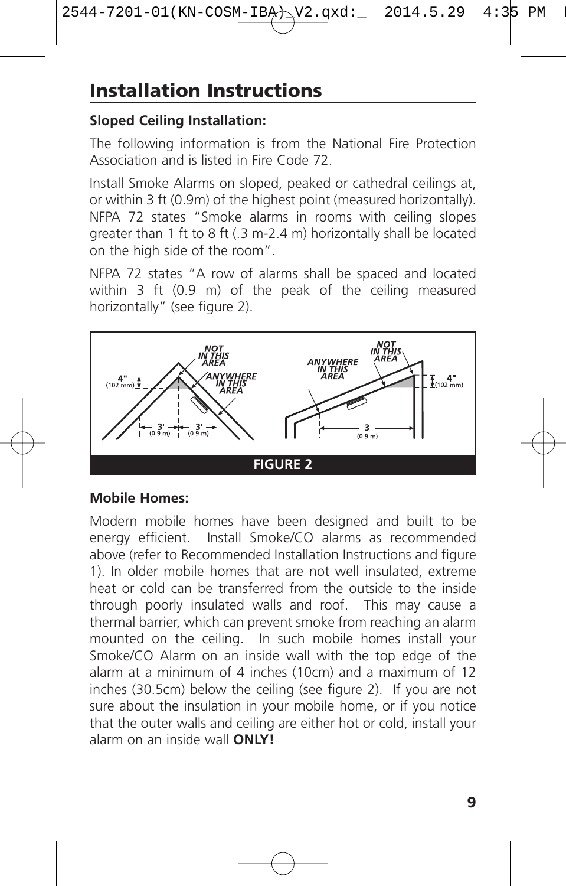#### **Sloped Ceiling Installation:**

The following information is from the National Fire Protection Association and is listed in Fire Code 72.

Install Smoke Alarms on sloped, peaked or cathedral ceilings at, or within 3 ft (0.9m) of the highest point (measured horizontally). NFPA 72 states "Smoke alarms in rooms with ceiling slopes greater than 1 ft to 8 ft (.3 m-2.4 m) horizontally shall be located on the high side of the room".

NFPA 72 states "A row of alarms shall be spaced and located within 3 ft (0.9 m) of the peak of the ceiling measured horizontally" (see figure 2).



#### **Mobile Homes:**

Modern mobile homes have been designed and built to be energy efficient. Install Smoke/CO alarms as recommended above (refer to Recommended Installation Instructions and figure 1). In older mobile homes that are not well insulated, extreme heat or cold can be transferred from the outside to the inside through poorly insulated walls and roof. This may cause a thermal barrier, which can prevent smoke from reaching an alarm mounted on the ceiling. In such mobile homes install your Smoke/CO Alarm on an inside wall with the top edge of the alarm at a minimum of 4 inches (10cm) and a maximum of 12 inches (30.5cm) below the ceiling (see figure 2). If you are not sure about the insulation in your mobile home, or if you notice that the outer walls and ceiling are either hot or cold, install your alarm on an inside wall **ONLY!**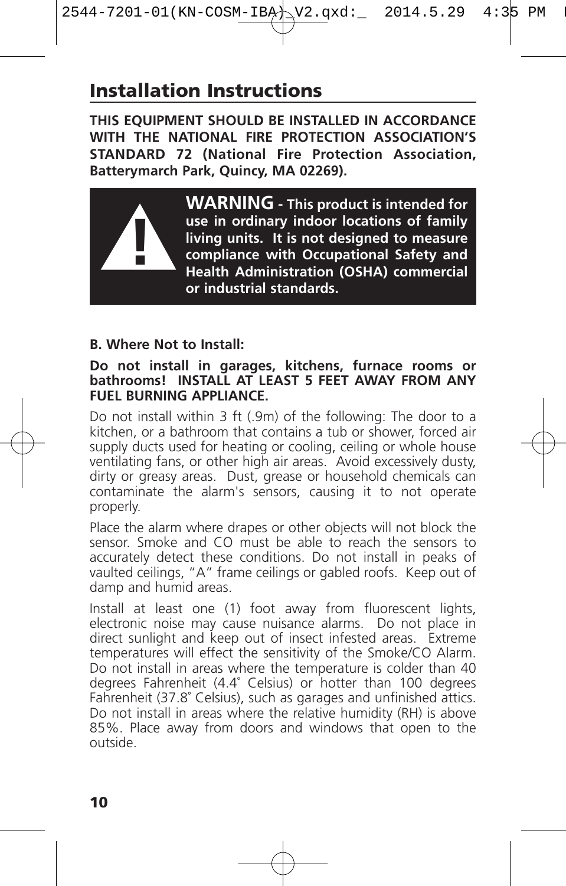### **Installation Instructions**

**THIS EQUIPMENT SHOULD BE INSTALLED IN ACCORDANCE WITH THE NATIONAL FIRE PROTECTION ASSOCIATION'S STANDARD 72 (National Fire Protection Association, Batterymarch Park, Quincy, MA 02269).**



**WARNING - This product is intended for use in ordinary indoor locations of family living units. It is not designed to measure compliance with Occupational Safety and Health Administration (OSHA) commercial or industrial standards.**

#### **B. Where Not to Install:**

#### **Do not install in garages, kitchens, furnace rooms or bathrooms! INSTALL AT LEAST 5 FEET AWAY FROM ANY FUEL BURNING APPLIANCE.**

Do not install within 3 ft (.9m) of the following: The door to a kitchen, or a bathroom that contains a tub or shower, forced air supply ducts used for heating or cooling, ceiling or whole house ventilating fans, or other high air areas. Avoid excessively dusty, dirty or greasy areas. Dust, grease or household chemicals can contaminate the alarm's sensors, causing it to not operate properly.

Place the alarm where drapes or other objects will not block the sensor. Smoke and CO must be able to reach the sensors to accurately detect these conditions. Do not install in peaks of vaulted ceilings, "A" frame ceilings or gabled roofs. Keep out of damp and humid areas.

Install at least one (1) foot away from fluorescent lights, electronic noise may cause nuisance alarms. Do not place in direct sunlight and keep out of insect infested areas. Extreme temperatures will effect the sensitivity of the Smoke/CO Alarm. Do not install in areas where the temperature is colder than 40 degrees Fahrenheit (4.4˚ Celsius) or hotter than 100 degrees Fahrenheit (37.8˚ Celsius), such as garages and unfinished attics. Do not install in areas where the relative humidity (RH) is above 85%. Place away from doors and windows that open to the outside.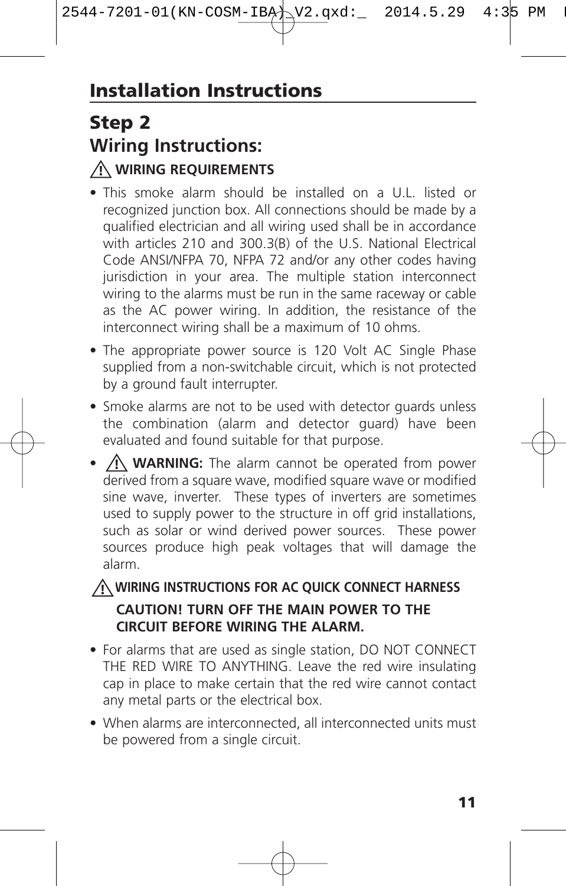# **Step 2 Wiring Instructions: WIRING REQUIREMENTS !**

- This smoke alarm should be installed on a U.L. listed or recognized junction box. All connections should be made by a qualified electrician and all wiring used shall be in accordance with articles 210 and 300.3(B) of the U.S. National Electrical Code ANSI/NFPA 70, NFPA 72 and/or any other codes having jurisdiction in your area. The multiple station interconnect wiring to the alarms must be run in the same raceway or cable as the AC power wiring. In addition, the resistance of the interconnect wiring shall be a maximum of 10 ohms.
- The appropriate power source is 120 Volt AC Single Phase supplied from a non-switchable circuit, which is not protected by a ground fault interrupter.
- Smoke alarms are not to be used with detector guards unless the combination (alarm and detector guard) have been evaluated and found suitable for that purpose.
- $\angle$ **!\ WARNING:** The alarm cannot be operated from power derived from a square wave, modified square wave or modified sine wave, inverter. These types of inverters are sometimes used to supply power to the structure in off grid installations, such as solar or wind derived power sources. These power sources produce high peak voltages that will damage the alarm.

### **WIRING INSTRUCTIONS FOR AC QUICK CONNECT HARNESS ! CAUTION! TURN OFF THE MAIN POWER TO THE CIRCUIT BEFORE WIRING THE ALARM.**

- For alarms that are used as single station, DO NOT CONNECT THE RED WIRE TO ANYTHING. Leave the red wire insulating cap in place to make certain that the red wire cannot contact any metal parts or the electrical box.
- When alarms are interconnected, all interconnected units must be powered from a single circuit.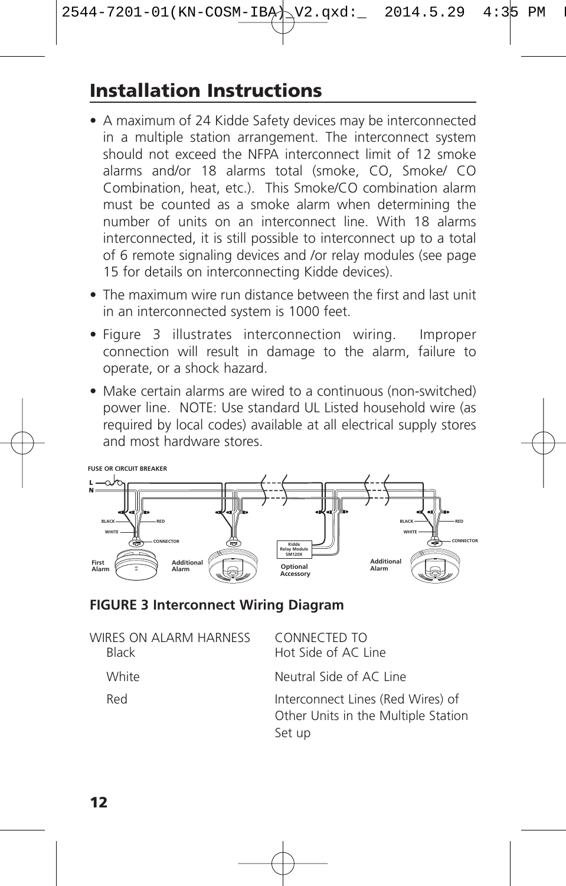# **Installation Instructions**

- A maximum of 24 Kidde Safety devices may be interconnected in a multiple station arrangement. The interconnect system should not exceed the NFPA interconnect limit of 12 smoke alarms and/or 18 alarms total (smoke, CO, Smoke/ CO Combination, heat, etc.). This Smoke/CO combination alarm must be counted as a smoke alarm when determining the number of units on an interconnect line. With 18 alarms interconnected, it is still possible to interconnect up to a total of 6 remote signaling devices and /or relay modules (see page 15 for details on interconnecting Kidde devices).
- The maximum wire run distance between the first and last unit in an interconnected system is 1000 feet.
- Figure 3 illustrates interconnection wiring. Improper connection will result in damage to the alarm, failure to operate, or a shock hazard.
- Make certain alarms are wired to a continuous (non-switched) power line. NOTE: Use standard UL Listed household wire (as required by local codes) available at all electrical supply stores and most hardware stores.



#### **FIGURE 3 Interconnect Wiring Diagram**

| WIRES ON ALARM HARNESS<br><b>Black</b> | CONNECTED TO<br>Hot Side of AC Line                                                |
|----------------------------------------|------------------------------------------------------------------------------------|
| White                                  | Neutral Side of AC Line                                                            |
| Red                                    | Interconnect Lines (Red Wires) of<br>Other Units in the Multiple Station<br>Set up |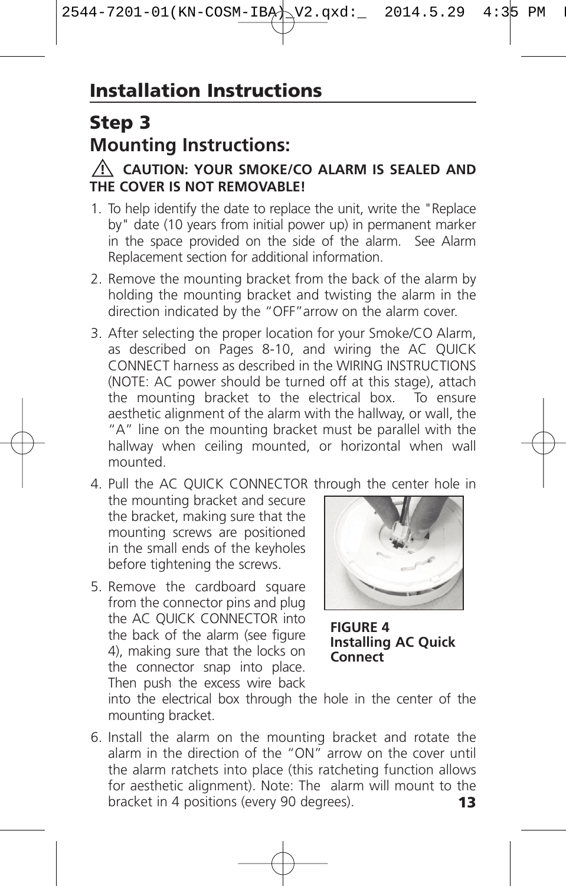# **Step 3 Mounting Instructions:**

#### **CAUTION: YOUR SMOKE/CO ALARM IS SEALED AND ! THE COVER IS NOT REMOVABLE!**

- 1. To help identify the date to replace the unit, write the "Replace by" date (10 years from initial power up) in permanent marker in the space provided on the side of the alarm. See Alarm Replacement section for additional information.
- 2. Remove the mounting bracket from the back of the alarm by holding the mounting bracket and twisting the alarm in the direction indicated by the "OFF"arrow on the alarm cover.
- 3. After selecting the proper location for your Smoke/CO Alarm, as described on Pages 8-10, and wiring the AC QUICK CONNECT harness as described in the WIRING INSTRUCTIONS (NOTE: AC power should be turned off at this stage), attach the mounting bracket to the electrical box. To ensure aesthetic alignment of the alarm with the hallway, or wall, the "A" line on the mounting bracket must be parallel with the hallway when ceiling mounted, or horizontal when wall mounted.
- 4. Pull the AC QUICK CONNECTOR through the center hole in the mounting bracket and secure the bracket, making sure that the mounting screws are positioned in the small ends of the keyholes before tightening the screws.
- 5. Remove the cardboard square from the connector pins and plug the AC QUICK CONNECTOR into the back of the alarm (see figure 4), making sure that the locks on the connector snap into place. Then push the excess wire back



**FIGURE 4 Installing AC Quick Connect**

into the electrical box through the hole in the center of the mounting bracket.

6. Install the alarm on the mounting bracket and rotate the alarm in the direction of the "ON" arrow on the cover until the alarm ratchets into place (this ratcheting function allows for aesthetic alignment). Note: The alarm will mount to the bracket in 4 positions (every 90 degrees). bracket in 4 positions (every 90 degrees). **13**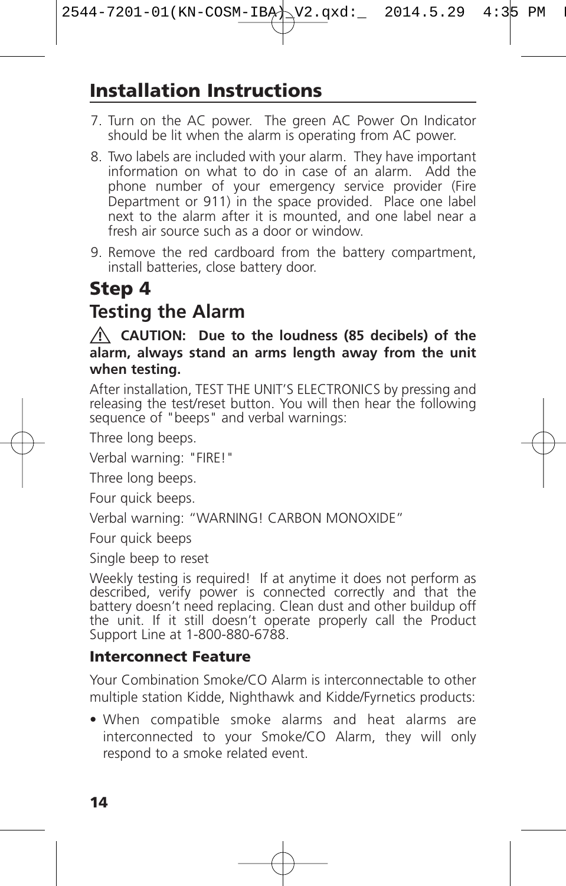# **Installation Instructions**

- 7. Turn on the AC power. The green AC Power On Indicator should be lit when the alarm is operating from AC power.
- 8. Two labels are included with your alarm. They have important information on what to do in case of an alarm. Add the phone number of your emergency service provider (Fire Department or 911) in the space provided. Place one label next to the alarm after it is mounted, and one label near a fresh air source such as a door or window.
- 9. Remove the red cardboard from the battery compartment, install batteries, close battery door.

# **Step 4**

# **Testing the Alarm**

#### **CAUTION: Due to the loudness (85 decibels) of the ! alarm, always stand an arms length away from the unit when testing.**

After installation, TEST THE UNIT'S ELECTRONICS by pressing and releasing the test/reset button. You will then hear the following sequence of "beeps" and verbal warnings:

Three long beeps.

Verbal warning: "FIRE!"

Three long beeps.

Four quick beeps.

Verbal warning: "WARNING! CARBON MONOXIDE"

Four quick beeps

Single beep to reset

Weekly testing is required! If at anytime it does not perform as described, verify power is connected correctly and that the battery doesn't need replacing. Clean dust and other buildup off the unit. If it still doesn't operate properly call the Product Support Line at 1-800-880-6788.

### **Interconnect Feature**

Your Combination Smoke/CO Alarm is interconnectable to other multiple station Kidde, Nighthawk and Kidde/Fyrnetics products:

• When compatible smoke alarms and heat alarms are interconnected to your Smoke/CO Alarm, they will only respond to a smoke related event.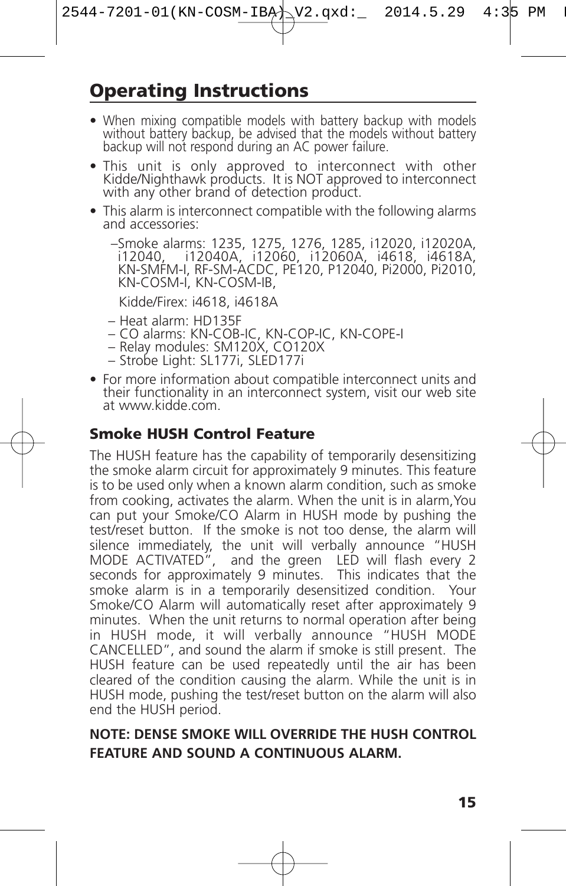### **Operating Instructions**

- When mixing compatible models with battery backup with models without battery backup, be advised that the models without battery
- backup will not respond during an AC power failure.<br>• This unit is only approved to interconnect with other Kidde/Nighthawk products. It is NOT approved to interconnect with any other brand of detection product.
- This alarm is interconnect compatible with the following alarms and accessories:

–Smoke alarms: 1235, 1275, 1276, 1285, i12020, i12020A, i12040, i12040A, i12060, i12060A, i4618, i4618A, KN-SMFM-I, RF-SM-ACDC, PE120, P12040, Pi2000, Pi2010, KN-COSM-I, KN-COSM-IB,

Kidde/Firex: i4618, i4618A

- 
- Heat alarm: HD135F<br>– CO alarms: KN-COB-IC, KN-COP-IC, KN-COPE-I<br>– Relay modules: SM120X, CO120X<br>– Strobe Light: SL177i, SLED177i
- 
- 
- For more information about compatible interconnect units and their functionality in an interconnect system, visit our web site at www.kidde.com.

#### **Smoke HUSH Control Feature**

The HUSH feature has the capability of temporarily desensitizing the smoke alarm circuit for approximately 9 minutes. This feature is to be used only when a known alarm condition, such as smoke from cooking, activates the alarm. When the unit is in alarm,You can put your Smoke/CO Alarm in HUSH mode by pushing the test/reset button. If the smoke is not too dense, the alarm will silence immediately, the unit will verbally announce "HUSH MODE ACTIVATED", and the green LED will flash every 2 seconds for approximately 9 minutes. This indicates that the smoke alarm is in a temporarily desensitized condition. Your Smoke/CO Alarm will automatically reset after approximately 9 minutes. When the unit returns to normal operation after being in HUSH mode, it will verbally announce "HUSH MODE CANCELLED", and sound the alarm if smoke is still present. The HUSH feature can be used repeatedly until the air has been cleared of the condition causing the alarm. While the unit is in HUSH mode, pushing the test/reset button on the alarm will also end the HUSH period.

#### **NOTE: DENSE SMOKE WILL OVERRIDE THE HUSH CONTROL FEATURE AND SOUND A CONTINUOUS ALARM.**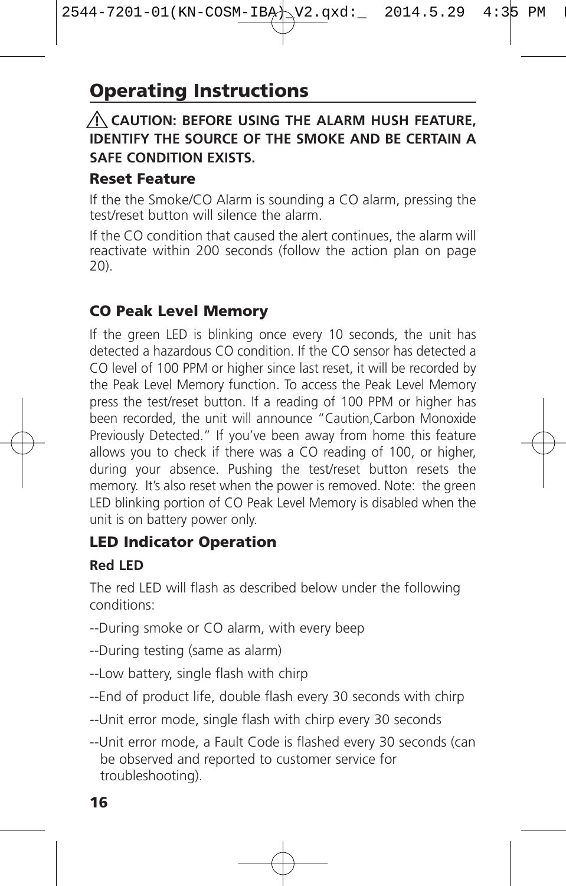### **CAUTION: BEFORE USING THE ALARM HUSH FEATURE, ! IDENTIFY THE SOURCE OF THE SMOKE AND BE CERTAIN A SAFE CONDITION EXISTS.**

#### **Reset Feature**

If the the Smoke/CO Alarm is sounding a CO alarm, pressing the test/reset button will silence the alarm.

If the CO condition that caused the alert continues, the alarm will reactivate within 200 seconds (follow the action plan on page 20).

### **CO Peak Level Memory**

If the green LED is blinking once every 10 seconds, the unit has detected a hazardous CO condition. If the CO sensor has detected a CO level of 100 PPM or higher since last reset, it will be recorded by the Peak Level Memory function. To access the Peak Level Memory press the test/reset button. If a reading of 100 PPM or higher has been recorded, the unit will announce "Caution,Carbon Monoxide Previously Detected." If you've been away from home this feature allows you to check if there was a CO reading of 100, or higher, during your absence. Pushing the test/reset button resets the memory. It's also reset when the power is removed. Note: the green LED blinking portion of CO Peak Level Memory is disabled when the unit is on battery power only.

### **LED Indicator Operation**

#### **Red LED**

The red LED will flash as described below under the following conditions:

- --During smoke or CO alarm, with every beep
- --During testing (same as alarm)
- --Low battery, single flash with chirp
- --End of product life, double flash every 30 seconds with chirp
- --Unit error mode, single flash with chirp every 30 seconds
- --Unit error mode, a Fault Code is flashed every 30 seconds (can be observed and reported to customer service for troubleshooting).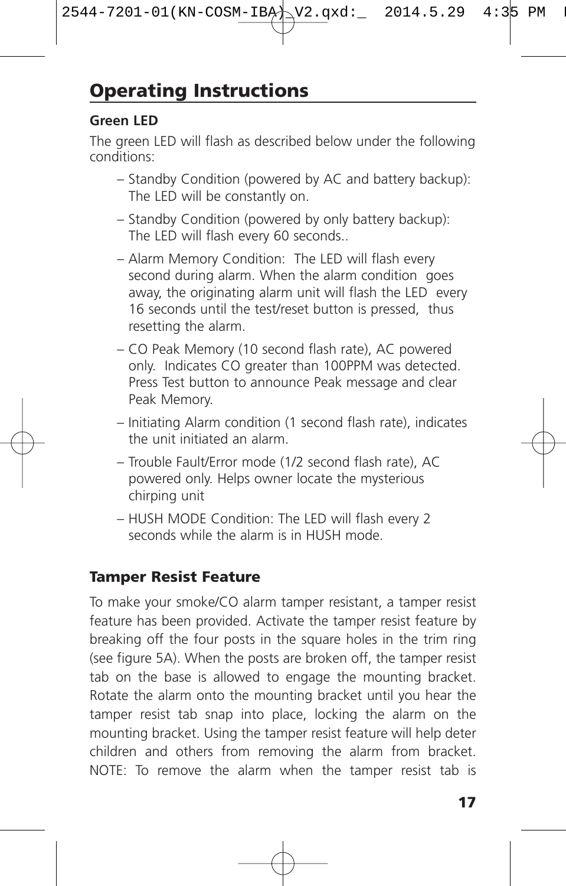#### **Green LED**

The green LED will flash as described below under the following conditions:

- Standby Condition (powered by AC and battery backup): The LED will be constantly on.
- Standby Condition (powered by only battery backup): The LED will flash every 60 seconds..
- Alarm Memory Condition: The LED will flash every second during alarm. When the alarm condition goes away, the originating alarm unit will flash the LED every 16 seconds until the test/reset button is pressed, thus resetting the alarm.
- CO Peak Memory (10 second flash rate), AC powered only. Indicates CO greater than 100PPM was detected. Press Test button to announce Peak message and clear Peak Memory.
- Initiating Alarm condition (1 second flash rate), indicates the unit initiated an alarm.
- Trouble Fault/Error mode (1/2 second flash rate), AC powered only. Helps owner locate the mysterious chirping unit
- HUSH MODE Condition: The LED will flash every 2 seconds while the alarm is in HUSH mode.

### **Tamper Resist Feature**

To make your smoke/CO alarm tamper resistant, a tamper resist feature has been provided. Activate the tamper resist feature by breaking off the four posts in the square holes in the trim ring (see figure 5A). When the posts are broken off, the tamper resist tab on the base is allowed to engage the mounting bracket. Rotate the alarm onto the mounting bracket until you hear the tamper resist tab snap into place, locking the alarm on the mounting bracket. Using the tamper resist feature will help deter children and others from removing the alarm from bracket. NOTE: To remove the alarm when the tamper resist tab is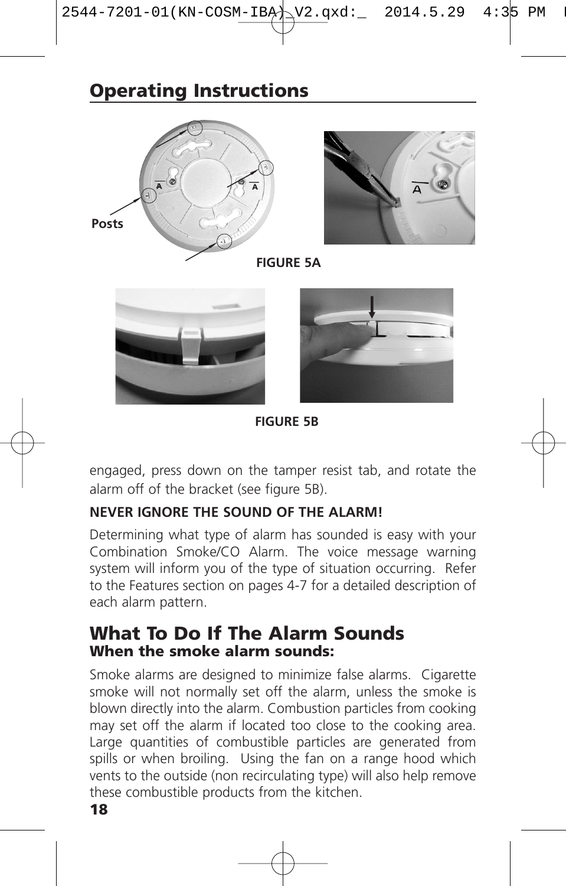# **Operating Instructions**



**FIGURE 5B**

engaged, press down on the tamper resist tab, and rotate the alarm off of the bracket (see figure 5B).

#### **NEVER IGNORE THE SOUND OF THE ALARM!**

Determining what type of alarm has sounded is easy with your Combination Smoke/CO Alarm. The voice message warning system will inform you of the type of situation occurring. Refer to the Features section on pages 4-7 for a detailed description of each alarm pattern.

#### **What To Do If The Alarm Sounds When the smoke alarm sounds:**

Smoke alarms are designed to minimize false alarms. Cigarette smoke will not normally set off the alarm, unless the smoke is blown directly into the alarm. Combustion particles from cooking may set off the alarm if located too close to the cooking area. Large quantities of combustible particles are generated from spills or when broiling. Using the fan on a range hood which vents to the outside (non recirculating type) will also help remove these combustible products from the kitchen.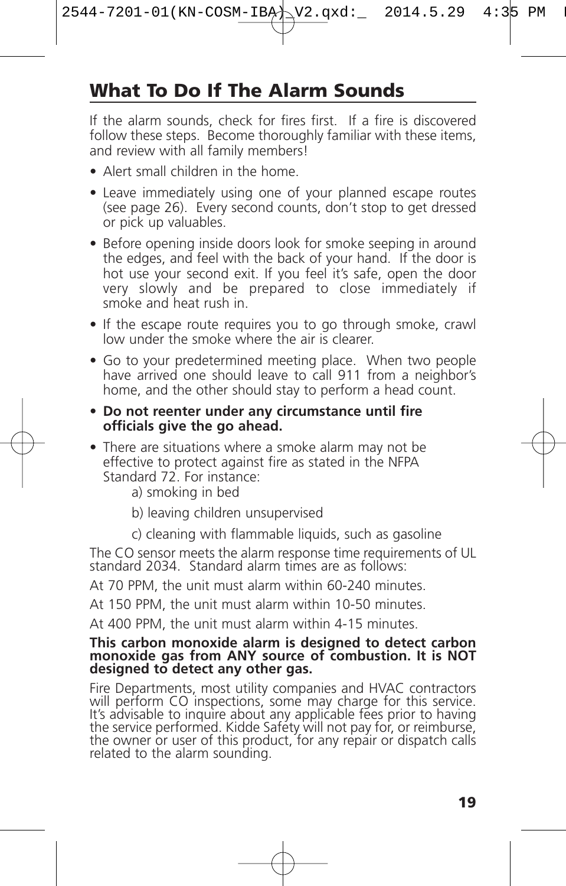# **What To Do If The Alarm Sounds**

If the alarm sounds, check for fires first. If a fire is discovered follow these steps. Become thoroughly familiar with these items, and review with all family members!

- Alert small children in the home.
- Leave immediately using one of your planned escape routes (see page 26). Every second counts, don't stop to get dressed or pick up valuables.
- Before opening inside doors look for smoke seeping in around the edges, and feel with the back of your hand. If the door is hot use your second exit. If you feel it's safe, open the door very slowly and be prepared to close immediately if smoke and heat rush in.
- If the escape route requires you to go through smoke, crawl low under the smoke where the air is clearer.
- Go to your predetermined meeting place. When two people have arrived one should leave to call 911 from a neighbor's home, and the other should stay to perform a head count.
- **• Do not reenter under any circumstance until fire officials give the go ahead.**
- There are situations where a smoke alarm may not be effective to protect against fire as stated in the NFPA Standard 72. For instance:
	- a) smoking in bed
	- b) leaving children unsupervised
	- c) cleaning with flammable liquids, such as gasoline

The CO sensor meets the alarm response time requirements of UL standard 2034. Standard alarm times are as follows:

At 70 PPM, the unit must alarm within 60-240 minutes.

At 150 PPM, the unit must alarm within 10-50 minutes.

At 400 PPM, the unit must alarm within 4-15 minutes.

### This carbon monoxide alarm is designed to detect carbon<br>monoxide gas from ANY source of combustion. It is NOT **designed to detect any other gas.**

Fire Departments, most utility companies and HVAC contractors<br>will perform CO inspections, some may charge for this service.<br>It's advisable to inquire about any applicable fees prior to having the service performed. Kidde Safety will not pay for, or reimburse,<br>the owner or user of this product, for any repair or dispatch calls<br>related to the alarm sounding.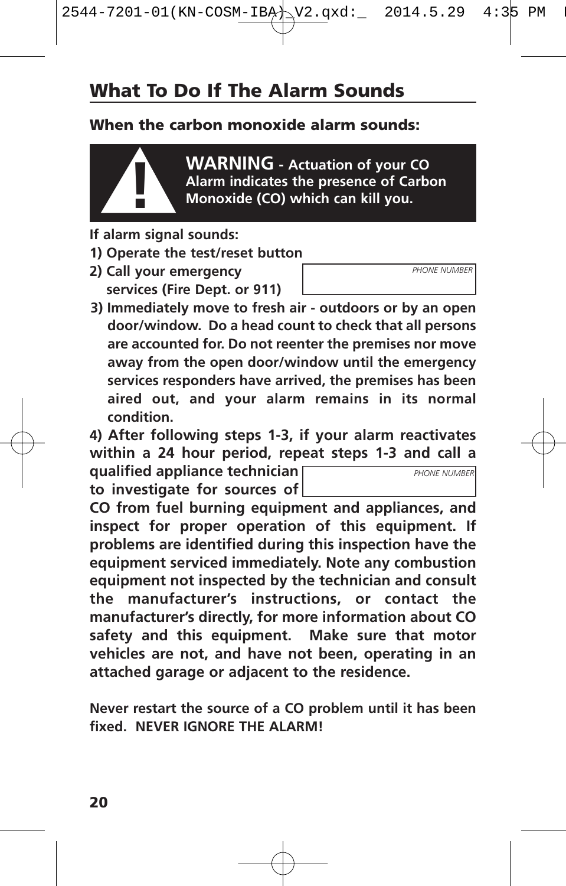# **What To Do If The Alarm Sounds**

#### **When the carbon monoxide alarm sounds:**



**WARNING - Actuation of your CO Alarm indicates the presence of Carbon ! Monoxide (CO) which can kill you.**

*PHONE NUMBER*

*PHONE NUMBER*

- **If alarm signal sounds:**
- **1) Operate the test/reset button**
- **2) Call your emergency services (Fire Dept. or 911)**
- **3) Immediately move to fresh air - outdoors or by an open door/window. Do a head count to check that all persons are accounted for. Do not reenter the premises nor move away from the open door/window until the emergency services responders have arrived, the premises has been aired out, and your alarm remains in its normal condition.**

**4) After following steps 1-3, if your alarm reactivates within a 24 hour period, repeat steps 1-3 and call a**

**qualified appliance technician to investigate for sources of**

**CO from fuel burning equipment and appliances, and inspect for proper operation of this equipment. If problems are identified during this inspection have the equipment serviced immediately. Note any combustion equipment not inspected by the technician and consult the manufacturer's instructions, or contact the manufacturer's directly, for more information about CO safety and this equipment. Make sure that motor vehicles are not, and have not been, operating in an attached garage or adjacent to the residence.**

**Never restart the source of a CO problem until it has been fixed. NEVER IGNORE THE ALARM!**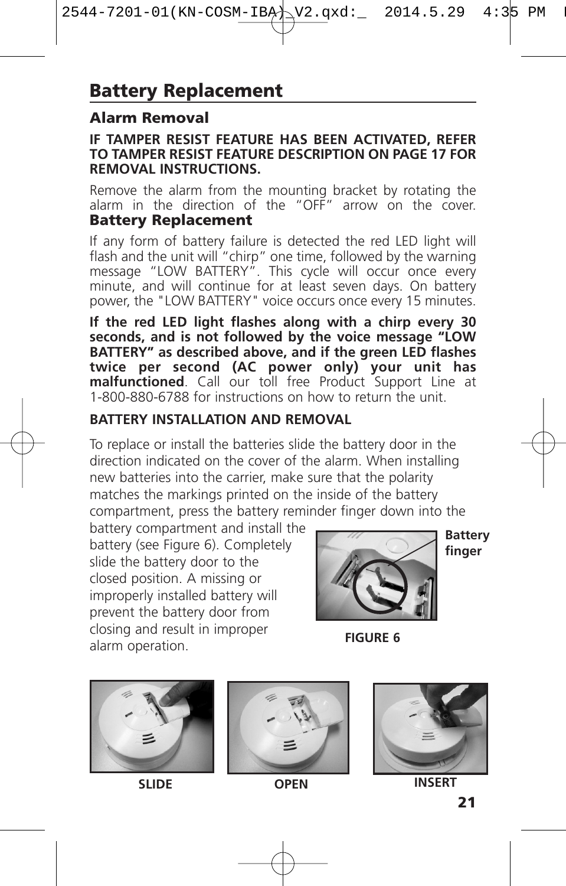### **Alarm Removal**

#### **IF TAMPER RESIST FEATURE HAS BEEN ACTIVATED, REFER TO TAMPER RESIST FEATURE DESCRIPTION ON PAGE 17 FOR REMOVAL INSTRUCTIONS.**

Remove the alarm from the mounting bracket by rotating the alarm in the direction of the "OFF" arrow on the cover. **Battery Replacement**

If any form of battery failure is detected the red LED light will flash and the unit will "chirp" one time, followed by the warning message "LOW BATTERY". This cycle will occur once every minute, and will continue for at least seven days. On battery power, the "LOW BATTERY" voice occurs once every 15 minutes.

**If the red LED light flashes along with a chirp every 30 seconds, and is not followed by the voice message "LOW BATTERY" as described above, and if the green LED flashes twice per second (AC power only) your unit has malfunctioned**. Call our toll free Product Support Line at 1-800-880-6788 for instructions on how to return the unit.

#### **BATTERY INSTALLATION AND REMOVAL**

To replace or install the batteries slide the battery door in the direction indicated on the cover of the alarm. When installing new batteries into the carrier, make sure that the polarity matches the markings printed on the inside of the battery compartment, press the battery reminder finger down into the

battery compartment and install the battery (see Figure 6). Completely slide the battery door to the closed position. A missing or improperly installed battery will prevent the battery door from closing and result in improper alarm operation.



**Battery finger**

**FIGURE 6**







**SLIDE OPEN INSERT**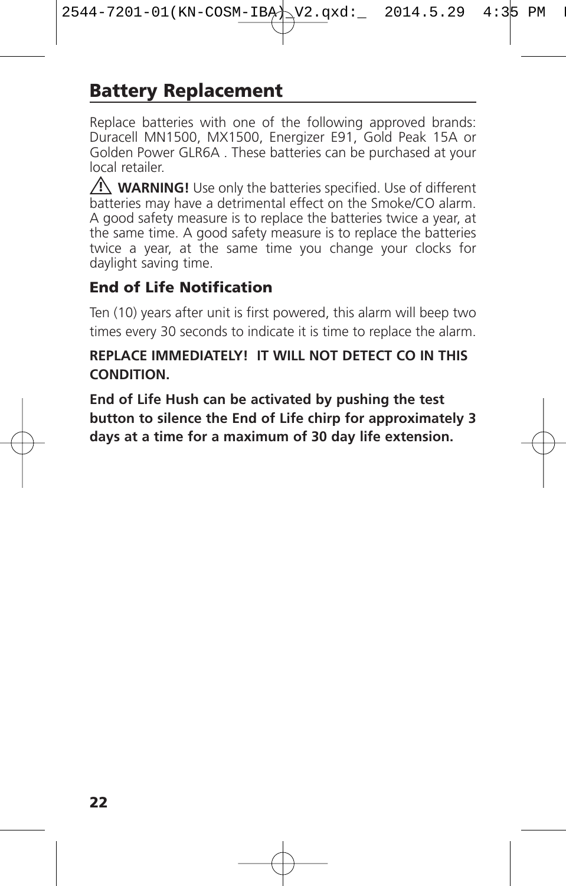# **Battery Replacement**

Replace batteries with one of the following approved brands: Duracell MN1500, MX1500, Energizer E91, Gold Peak 15A or Golden Power GLR6A . These batteries can be purchased at your local retailer.

**WARNING!** Use only the batteries specified. Use of different **!** batteries may have a detrimental effect on the Smoke/CO alarm. A good safety measure is to replace the batteries twice a year, at the same time. A good safety measure is to replace the batteries twice a year, at the same time you change your clocks for daylight saving time.

### **End of Life Notification**

Ten (10) years after unit is first powered, this alarm will beep two times every 30 seconds to indicate it is time to replace the alarm.

#### **REPLACE IMMEDIATELY! IT WILL NOT DETECT CO IN THIS CONDITION.**

**End of Life Hush can be activated by pushing the test button to silence the End of Life chirp for approximately 3 days at a time for a maximum of 30 day life extension.**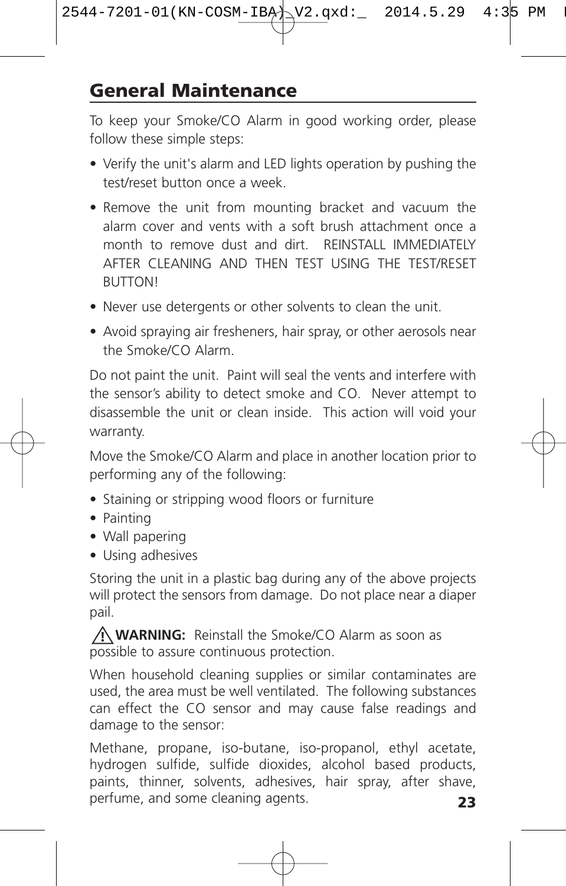### **General Maintenance**

To keep your Smoke/CO Alarm in good working order, please follow these simple steps:

- Verify the unit's alarm and LED lights operation by pushing the test/reset button once a week.
- Remove the unit from mounting bracket and vacuum the alarm cover and vents with a soft brush attachment once a month to remove dust and dirt. REINSTALL IMMEDIATELY AFTER CLEANING AND THEN TEST USING THE TEST/RESET BUTTON!
- Never use detergents or other solvents to clean the unit.
- Avoid spraying air fresheners, hair spray, or other aerosols near the Smoke/CO Alarm.

Do not paint the unit. Paint will seal the vents and interfere with the sensor's ability to detect smoke and CO. Never attempt to disassemble the unit or clean inside. This action will void your warranty.

Move the Smoke/CO Alarm and place in another location prior to performing any of the following:

- Staining or stripping wood floors or furniture
- Painting
- Wall papering
- Using adhesives

Storing the unit in a plastic bag during any of the above projects will protect the sensors from damage. Do not place near a diaper pail.

**WARNING:** Reinstall the Smoke/CO Alarm as soon as **!** possible to assure continuous protection.

When household cleaning supplies or similar contaminates are used, the area must be well ventilated. The following substances can effect the CO sensor and may cause false readings and damage to the sensor:

**23** Methane, propane, iso-butane, iso-propanol, ethyl acetate, hydrogen sulfide, sulfide dioxides, alcohol based products, paints, thinner, solvents, adhesives, hair spray, after shave, perfume, and some cleaning agents.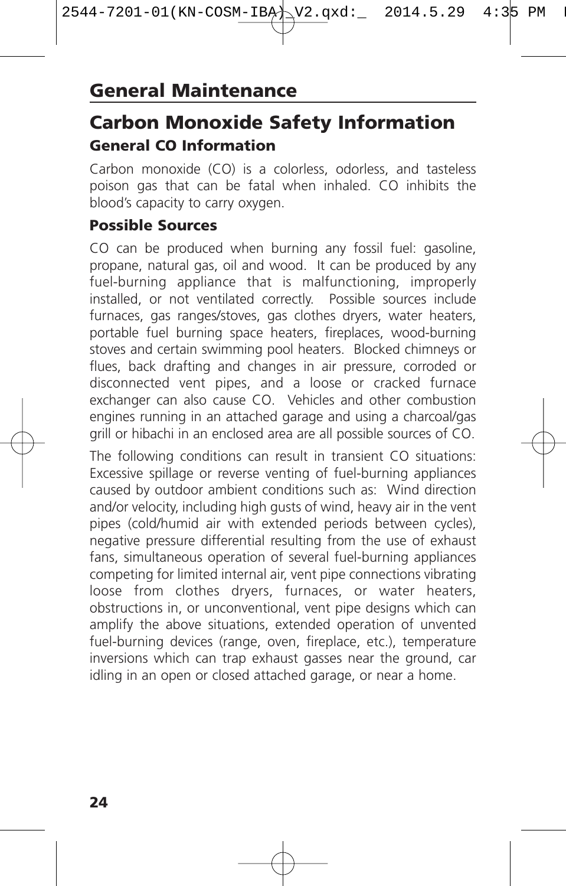# **Carbon Monoxide Safety Information General CO Information**

Carbon monoxide (CO) is a colorless, odorless, and tasteless poison gas that can be fatal when inhaled. CO inhibits the blood's capacity to carry oxygen.

#### **Possible Sources**

CO can be produced when burning any fossil fuel: gasoline, propane, natural gas, oil and wood. It can be produced by any fuel-burning appliance that is malfunctioning, improperly installed, or not ventilated correctly. Possible sources include furnaces, gas ranges/stoves, gas clothes dryers, water heaters, portable fuel burning space heaters, fireplaces, wood-burning stoves and certain swimming pool heaters. Blocked chimneys or flues, back drafting and changes in air pressure, corroded or disconnected vent pipes, and a loose or cracked furnace exchanger can also cause CO. Vehicles and other combustion engines running in an attached garage and using a charcoal/gas grill or hibachi in an enclosed area are all possible sources of CO.

The following conditions can result in transient CO situations: Excessive spillage or reverse venting of fuel-burning appliances caused by outdoor ambient conditions such as: Wind direction and/or velocity, including high gusts of wind, heavy air in the vent pipes (cold/humid air with extended periods between cycles), negative pressure differential resulting from the use of exhaust fans, simultaneous operation of several fuel-burning appliances competing for limited internal air, vent pipe connections vibrating loose from clothes dryers, furnaces, or water heaters, obstructions in, or unconventional, vent pipe designs which can amplify the above situations, extended operation of unvented fuel-burning devices (range, oven, fireplace, etc.), temperature inversions which can trap exhaust gasses near the ground, car idling in an open or closed attached garage, or near a home.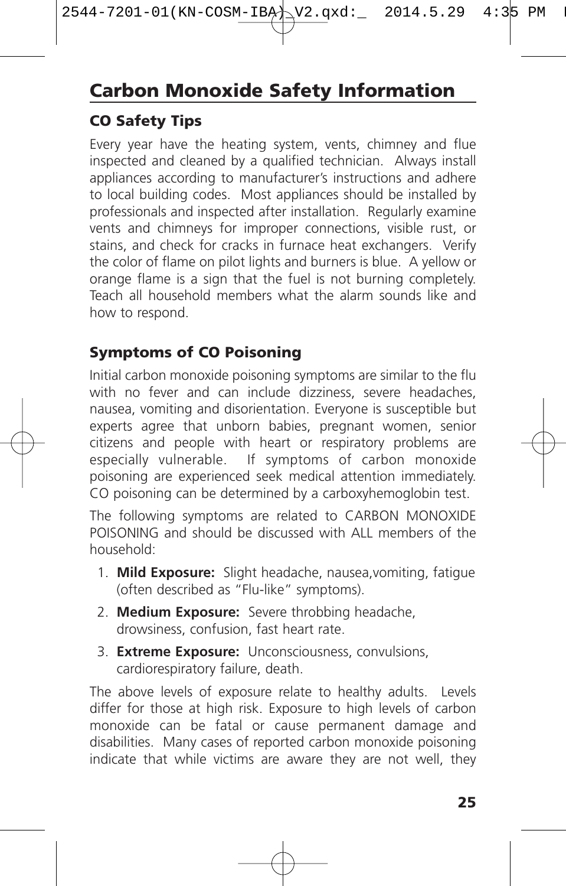# **Carbon Monoxide Safety Information**

### **CO Safety Tips**

Every year have the heating system, vents, chimney and flue inspected and cleaned by a qualified technician. Always install appliances according to manufacturer's instructions and adhere to local building codes. Most appliances should be installed by professionals and inspected after installation. Regularly examine vents and chimneys for improper connections, visible rust, or stains, and check for cracks in furnace heat exchangers. Verify the color of flame on pilot lights and burners is blue. A yellow or orange flame is a sign that the fuel is not burning completely. Teach all household members what the alarm sounds like and how to respond.

### **Symptoms of CO Poisoning**

Initial carbon monoxide poisoning symptoms are similar to the flu with no fever and can include dizziness, severe headaches, nausea, vomiting and disorientation. Everyone is susceptible but experts agree that unborn babies, pregnant women, senior citizens and people with heart or respiratory problems are especially vulnerable. If symptoms of carbon monoxide poisoning are experienced seek medical attention immediately. CO poisoning can be determined by a carboxyhemoglobin test.

The following symptoms are related to CARBON MONOXIDE POISONING and should be discussed with ALL members of the household:

- 1. **Mild Exposure:** Slight headache, nausea,vomiting, fatigue (often described as "Flu-like" symptoms).
- 2. **Medium Exposure:** Severe throbbing headache, drowsiness, confusion, fast heart rate.
- 3. **Extreme Exposure:** Unconsciousness, convulsions, cardiorespiratory failure, death.

The above levels of exposure relate to healthy adults. Levels differ for those at high risk. Exposure to high levels of carbon monoxide can be fatal or cause permanent damage and disabilities. Many cases of reported carbon monoxide poisoning indicate that while victims are aware they are not well, they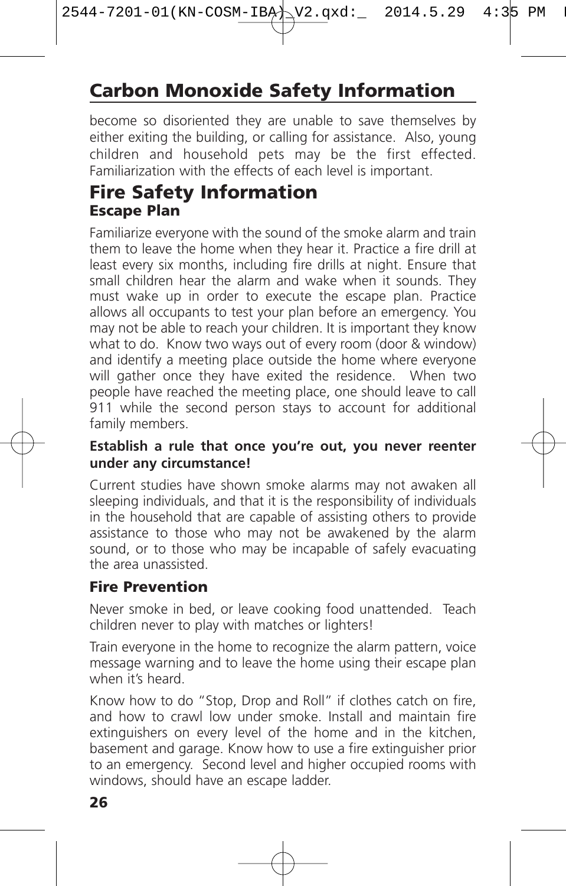# **Carbon Monoxide Safety Information**

become so disoriented they are unable to save themselves by either exiting the building, or calling for assistance. Also, young children and household pets may be the first effected. Familiarization with the effects of each level is important.

### **Fire Safety Information Escape Plan**

Familiarize everyone with the sound of the smoke alarm and train them to leave the home when they hear it. Practice a fire drill at least every six months, including fire drills at night. Ensure that small children hear the alarm and wake when it sounds. They must wake up in order to execute the escape plan. Practice allows all occupants to test your plan before an emergency. You may not be able to reach your children. It is important they know what to do. Know two ways out of every room (door & window) and identify a meeting place outside the home where everyone will gather once they have exited the residence. When two people have reached the meeting place, one should leave to call 911 while the second person stays to account for additional family members.

#### **Establish a rule that once you're out, you never reenter under any circumstance!**

Current studies have shown smoke alarms may not awaken all sleeping individuals, and that it is the responsibility of individuals in the household that are capable of assisting others to provide assistance to those who may not be awakened by the alarm sound, or to those who may be incapable of safely evacuating the area unassisted.

#### **Fire Prevention**

Never smoke in bed, or leave cooking food unattended. Teach children never to play with matches or lighters!

Train everyone in the home to recognize the alarm pattern, voice message warning and to leave the home using their escape plan when it's heard.

Know how to do "Stop, Drop and Roll" if clothes catch on fire, and how to crawl low under smoke. Install and maintain fire extinguishers on every level of the home and in the kitchen, basement and garage. Know how to use a fire extinguisher prior to an emergency. Second level and higher occupied rooms with windows, should have an escape ladder.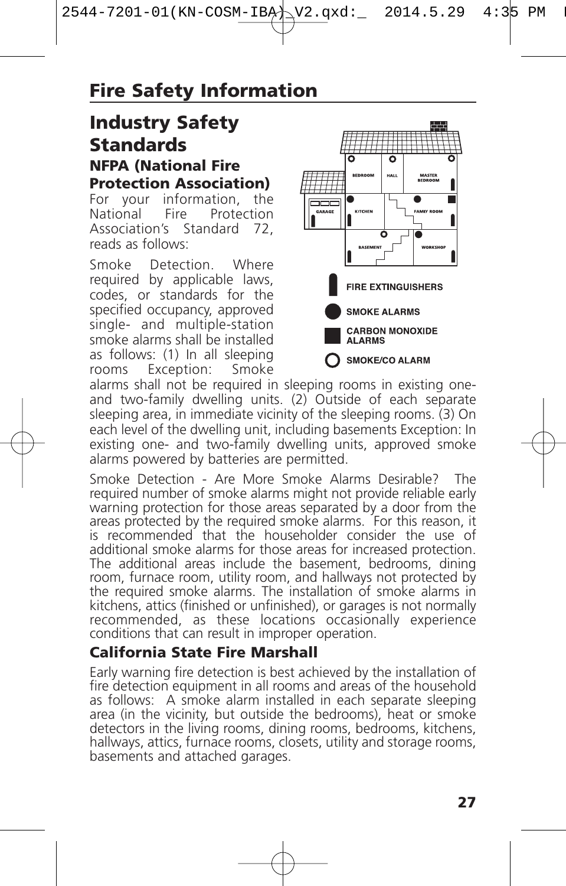### **Industry Safety Standards NFPA (National Fire Protection Association)**

For your information,<br>National Fire Prote Protection Association's Standard 72, reads as follows:

Smoke Detection. Where required by applicable laws, codes, or standards for the specified occupancy, approved single- and multiple-station smoke alarms shall be installed as follows: (1) In all sleeping<br>rooms Exception: Smoke Exception:



alarms shall not be required in sleeping rooms in existing oneand two-family dwelling units. (2) Outside of each separate sleeping area, in immediate vicinity of the sleeping rooms. (3) On each level of the dwelling unit, including basements Exception: In existing one- and two-family dwelling units, approved smoke alarms powered by batteries are permitted.

Smoke Detection - Are More Smoke Alarms Desirable? The required number of smoke alarms might not provide reliable early warning protection for those areas separated by a door from the areas protected by the required smoke is recommended that the householder consider the use of additional smoke alarms for those areas for increased protection. The additional areas include the basement, bedrooms, dining room, furnace room, utility room, and hallways not protected by the required smoke alarms. The installation of smoke alarms in kitchens, attics (finished or unfinished), or garages is not normally recommended, as these locations occasionally experience conditions that can result in improper operation.

### **California State Fire Marshall**

Early warning fire detection is best achieved by the installation of fire detection equipment in all rooms and areas of the household as follows: A smoke alarm installed in each separate sleeping area (in the vicinity, but outside the bedrooms), heat or smoke detectors in the living rooms, dining rooms, bedrooms, kitchens, hallways, attics, furnace rooms, closets, utility and storage rooms, basements and attached garages.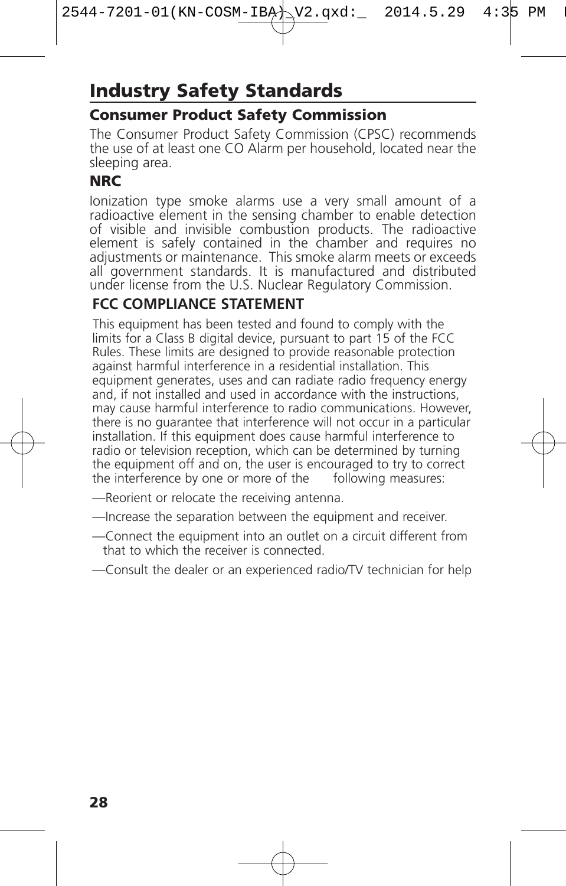# **Industry Safety Standards**

### **Consumer Product Safety Commission**

The Consumer Product Safety Commission (CPSC) recommends the use of at least one CO Alarm per household, located near the sleeping area.

### **NRC**

Ionization type smoke alarms use a very small amount of a<br>radioactive element in the sensing chamber to enable detection<br>of visible and invisible combustion products. The radioactive<br>element is safely contained in the cham

### **FCC COMPLIANCE STATEMENT**

This equipment has been tested and found to comply with the limits for a Class B digital device, pursuant to part 15 of the FCC Rules. These limits are designed to provide reasonable protection against harmful interference in a residential installation. This equipment generates, uses and can radiate radio frequency energy and, if not installed and used in accordance with the instructions, may cause harmful interference to radio communications. However, there is no guarantee that interference will not occur in a particular installation. If this equipment does cause harmful interference to radio or television reception, which can be determined by turning the equipment off and on, the user is encouraged to try to correct the interference by one or more of the following measures:

- —Reorient or relocate the receiving antenna.
- —Increase the separation between the equipment and receiver.
- —Connect the equipment into an outlet on a circuit different from that to which the receiver is connected.
- —Consult the dealer or an experienced radio/TV technician for help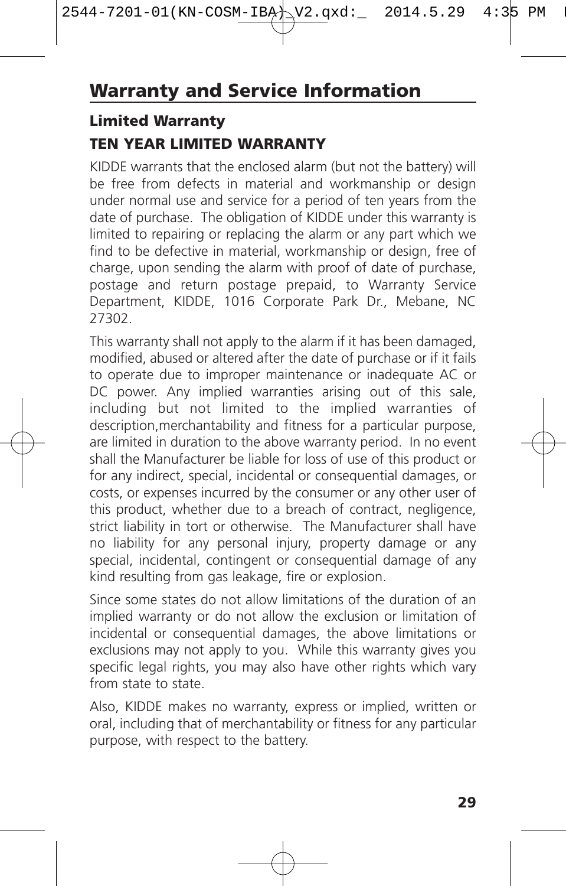### **Limited Warranty TEN YEAR LIMITED WARRANTY**

KIDDE warrants that the enclosed alarm (but not the battery) will be free from defects in material and workmanship or design under normal use and service for a period of ten years from the date of purchase. The obligation of KIDDE under this warranty is limited to repairing or replacing the alarm or any part which we find to be defective in material, workmanship or design, free of charge, upon sending the alarm with proof of date of purchase, postage and return postage prepaid, to Warranty Service Department, KIDDE, 1016 Corporate Park Dr., Mebane, NC 27302.

This warranty shall not apply to the alarm if it has been damaged, modified, abused or altered after the date of purchase or if it fails to operate due to improper maintenance or inadequate AC or DC power. Any implied warranties arising out of this sale, including but not limited to the implied warranties of description,merchantability and fitness for a particular purpose, are limited in duration to the above warranty period. In no event shall the Manufacturer be liable for loss of use of this product or for any indirect, special, incidental or consequential damages, or costs, or expenses incurred by the consumer or any other user of this product, whether due to a breach of contract, negligence, strict liability in tort or otherwise. The Manufacturer shall have no liability for any personal injury, property damage or any special, incidental, contingent or consequential damage of any kind resulting from gas leakage, fire or explosion.

Since some states do not allow limitations of the duration of an implied warranty or do not allow the exclusion or limitation of incidental or consequential damages, the above limitations or exclusions may not apply to you. While this warranty gives you specific legal rights, you may also have other rights which vary from state to state.

Also, KIDDE makes no warranty, express or implied, written or oral, including that of merchantability or fitness for any particular purpose, with respect to the battery.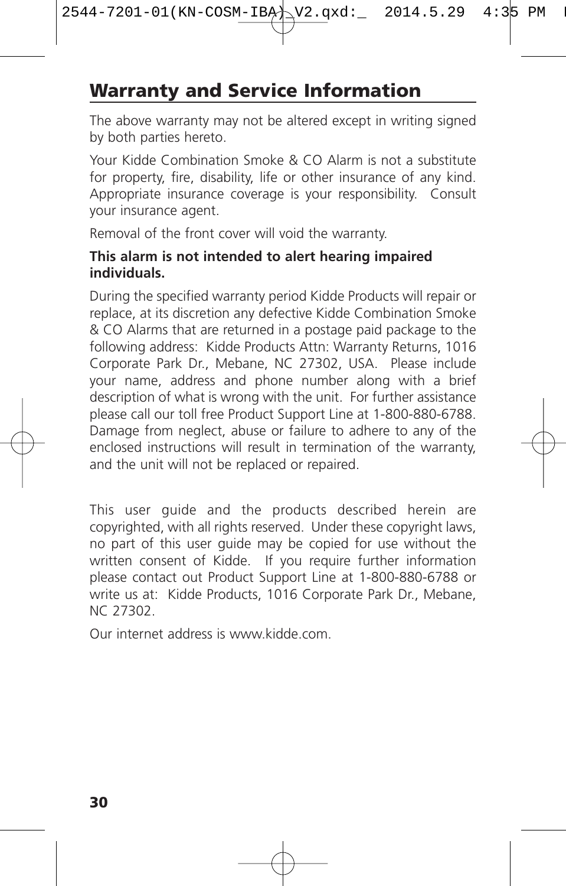## **Warranty and Service Information**

The above warranty may not be altered except in writing signed by both parties hereto.

Your Kidde Combination Smoke & CO Alarm is not a substitute for property, fire, disability, life or other insurance of any kind. Appropriate insurance coverage is your responsibility. Consult your insurance agent.

Removal of the front cover will void the warranty.

#### **This alarm is not intended to alert hearing impaired individuals.**

During the specified warranty period Kidde Products will repair or replace, at its discretion any defective Kidde Combination Smoke & CO Alarms that are returned in a postage paid package to the following address: Kidde Products Attn: Warranty Returns, 1016 Corporate Park Dr., Mebane, NC 27302, USA. Please include your name, address and phone number along with a brief description of what is wrong with the unit. For further assistance please call our toll free Product Support Line at 1-800-880-6788. Damage from neglect, abuse or failure to adhere to any of the enclosed instructions will result in termination of the warranty, and the unit will not be replaced or repaired.

This user guide and the products described herein are copyrighted, with all rights reserved. Under these copyright laws, no part of this user guide may be copied for use without the written consent of Kidde. If you require further information please contact out Product Support Line at 1-800-880-6788 or write us at: Kidde Products, 1016 Corporate Park Dr., Mebane, NC 27302.

Our internet address is www.kidde.com.